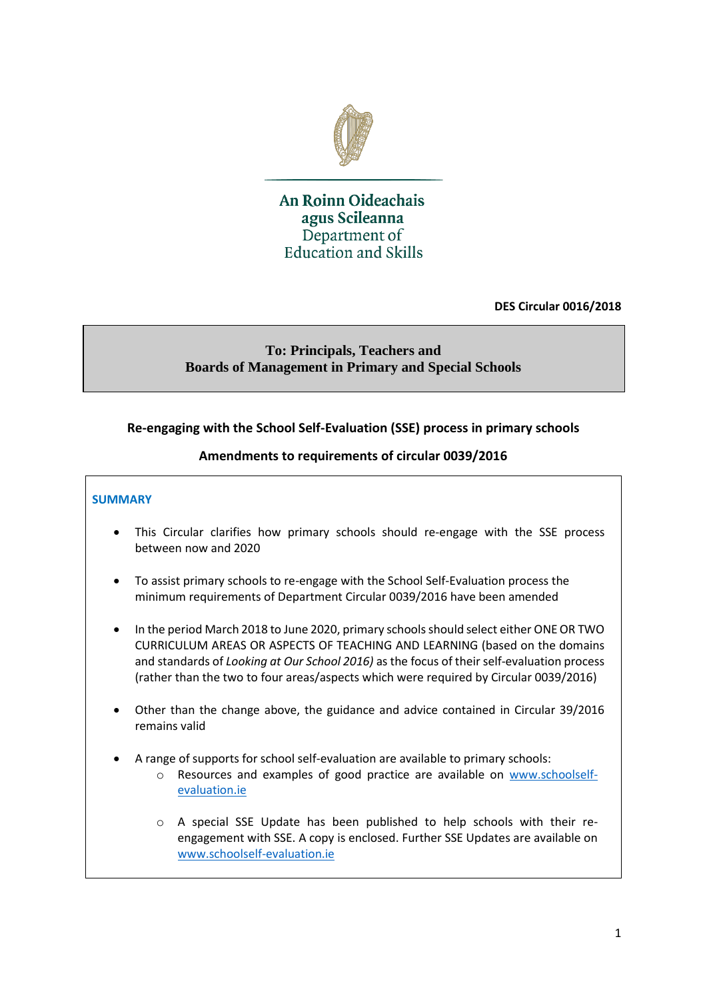

# An Roinn Oideachais agus Scileanna Department of **Education and Skills**

**DES Circular 0016/2018**

## **To: Principals, Teachers and Boards of Management in Primary and Special Schools**

## **Re-engaging with the School Self-Evaluation (SSE) process in primary schools**

## **Amendments to requirements of circular 0039/2016**

#### **SUMMARY**

- This Circular clarifies how primary schools should re-engage with the SSE process between now and 2020
- To assist primary schools to re-engage with the School Self-Evaluation process the minimum requirements of Department Circular 0039/2016 have been amended
- In the period March 2018 to June 2020, primary schools should select either ONE OR TWO CURRICULUM AREAS OR ASPECTS OF TEACHING AND LEARNING (based on the domains and standards of *Looking at Our School 2016)* as the focus of their self-evaluation process (rather than the two to four areas/aspects which were required by Circular 0039/2016)
- Other than the change above, the guidance and advice contained in Circular 39/2016 remains valid
- A range of supports for school self-evaluation are available to primary schools:
	- o Resources and examples of good practice are available on [www.schoolself](http://www.schoolself-evaluation.ie/)[evaluation.ie](http://www.schoolself-evaluation.ie/)
	- o A special SSE Update has been published to help schools with their reengagement with SSE. A copy is enclosed. Further SSE Updates are available on [www.schoolself-evaluation.ie](http://www.schoolself-evaluation.ie/)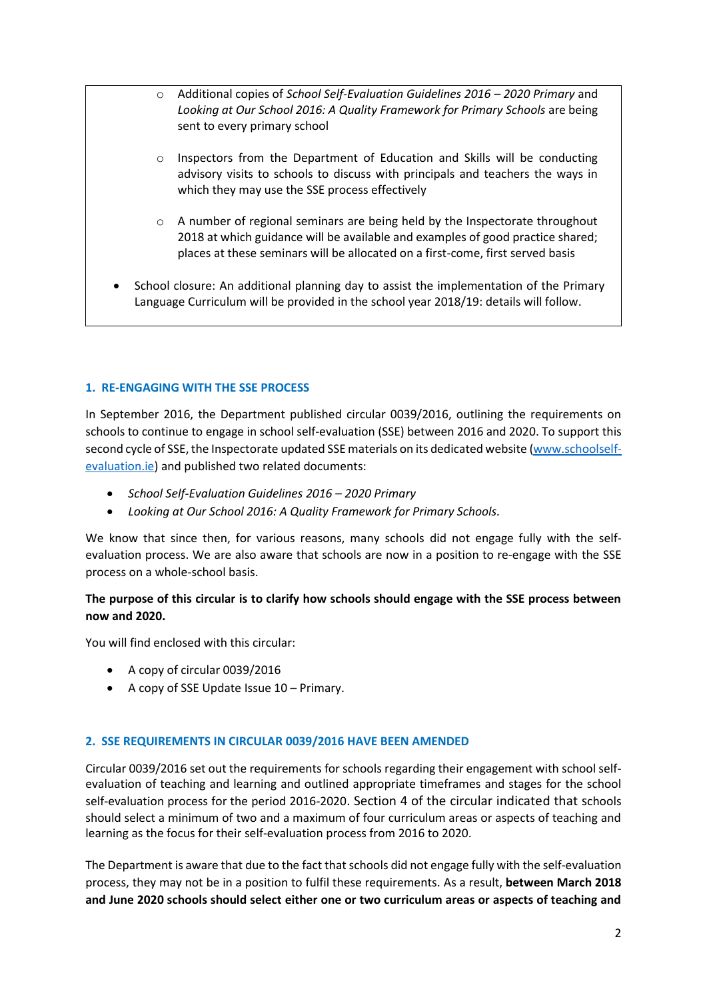- o Additional copies of *School Self-Evaluation Guidelines 2016 – 2020 Primary* and *Looking at Our School 2016: A Quality Framework for Primary Schools* are being sent to every primary school
- o Inspectors from the Department of Education and Skills will be conducting advisory visits to schools to discuss with principals and teachers the ways in which they may use the SSE process effectively
- o A number of regional seminars are being held by the Inspectorate throughout 2018 at which guidance will be available and examples of good practice shared; places at these seminars will be allocated on a first-come, first served basis
- School closure: An additional planning day to assist the implementation of the Primary Language Curriculum will be provided in the school year 2018/19: details will follow.

## **1. RE-ENGAGING WITH THE SSE PROCESS**

In September 2016, the Department published circular 0039/2016, outlining the requirements on schools to continue to engage in school self-evaluation (SSE) between 2016 and 2020. To support this second cycle of SSE, the Inspectorate updated SSE materials on its dedicated website [\(www.schoolself](http://www.schoolself-evaluation.ie/)[evaluation.ie\)](http://www.schoolself-evaluation.ie/) and published two related documents:

- *School Self-Evaluation Guidelines 2016 – 2020 Primary*
- *Looking at Our School 2016: A Quality Framework for Primary Schools.*

We know that since then, for various reasons, many schools did not engage fully with the selfevaluation process. We are also aware that schools are now in a position to re-engage with the SSE process on a whole-school basis.

## **The purpose of this circular is to clarify how schools should engage with the SSE process between now and 2020.**

You will find enclosed with this circular:

- A copy of circular 0039/2016
- A copy of SSE Update Issue 10 Primary.

#### **2. SSE REQUIREMENTS IN CIRCULAR 0039/2016 HAVE BEEN AMENDED**

Circular 0039/2016 set out the requirements for schools regarding their engagement with school selfevaluation of teaching and learning and outlined appropriate timeframes and stages for the school self-evaluation process for the period 2016-2020. Section 4 of the circular indicated that schools should select a minimum of two and a maximum of four curriculum areas or aspects of teaching and learning as the focus for their self-evaluation process from 2016 to 2020.

The Department is aware that due to the fact that schools did not engage fully with the self-evaluation process, they may not be in a position to fulfil these requirements. As a result, **between March 2018 and June 2020 schools should select either one or two curriculum areas or aspects of teaching and**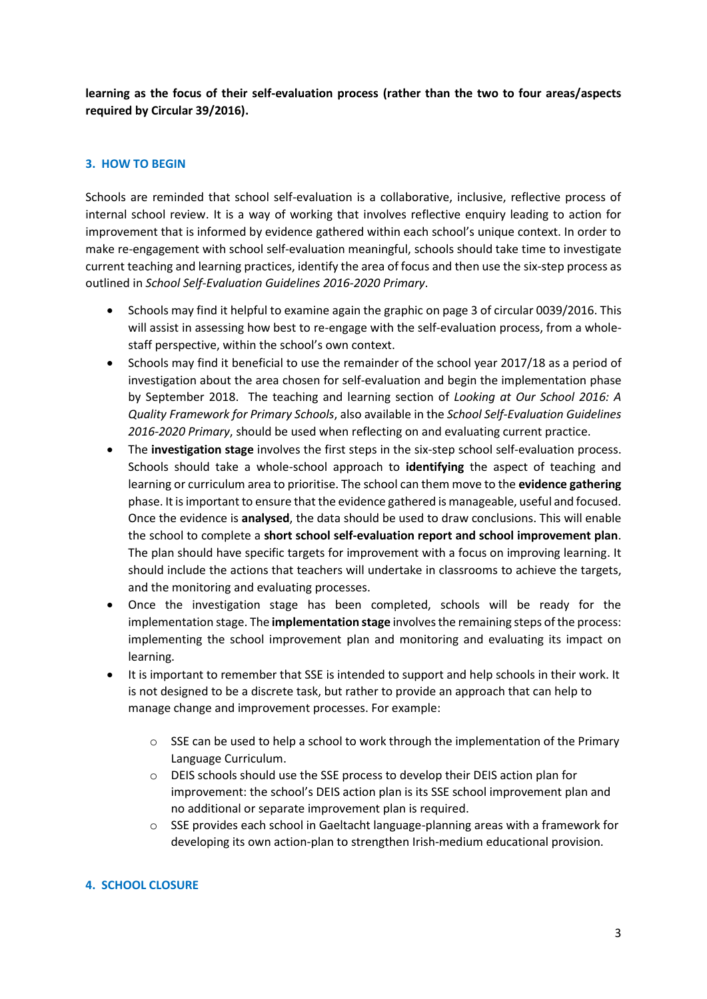**learning as the focus of their self-evaluation process (rather than the two to four areas/aspects required by Circular 39/2016).**

#### **3. HOW TO BEGIN**

Schools are reminded that school self-evaluation is a collaborative, inclusive, reflective process of internal school review. It is a way of working that involves reflective enquiry leading to action for improvement that is informed by evidence gathered within each school's unique context. In order to make re-engagement with school self-evaluation meaningful, schools should take time to investigate current teaching and learning practices, identify the area of focus and then use the six-step process as outlined in *School Self-Evaluation Guidelines 2016-2020 Primary*.

- Schools may find it helpful to examine again the graphic on page 3 of circular 0039/2016. This will assist in assessing how best to re-engage with the self-evaluation process, from a wholestaff perspective, within the school's own context.
- Schools may find it beneficial to use the remainder of the school year 2017/18 as a period of investigation about the area chosen for self-evaluation and begin the implementation phase by September 2018. The teaching and learning section of *Looking at Our School 2016: A Quality Framework for Primary Schools*, also available in the *School Self-Evaluation Guidelines 2016-2020 Primary*, should be used when reflecting on and evaluating current practice.
- The **investigation stage** involves the first steps in the six-step school self-evaluation process. Schools should take a whole-school approach to **identifying** the aspect of teaching and learning or curriculum area to prioritise. The school can them move to the **evidence gathering** phase. It is important to ensure that the evidence gathered is manageable, useful and focused. Once the evidence is **analysed**, the data should be used to draw conclusions. This will enable the school to complete a **short school self-evaluation report and school improvement plan**. The plan should have specific targets for improvement with a focus on improving learning. It should include the actions that teachers will undertake in classrooms to achieve the targets, and the monitoring and evaluating processes.
- Once the investigation stage has been completed, schools will be ready for the implementation stage. The **implementation stage** involves the remaining steps of the process: implementing the school improvement plan and monitoring and evaluating its impact on learning.
- It is important to remember that SSE is intended to support and help schools in their work. It is not designed to be a discrete task, but rather to provide an approach that can help to manage change and improvement processes. For example:
	- $\circ$  SSE can be used to help a school to work through the implementation of the Primary Language Curriculum.
	- o DEIS schools should use the SSE process to develop their DEIS action plan for improvement: the school's DEIS action plan is its SSE school improvement plan and no additional or separate improvement plan is required.
	- o SSE provides each school in Gaeltacht language-planning areas with a framework for developing its own action-plan to strengthen Irish-medium educational provision.

#### **4. SCHOOL CLOSURE**